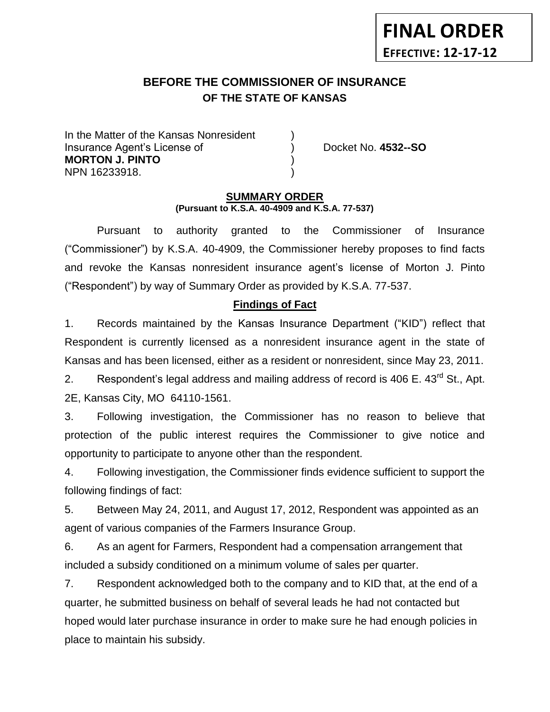# **FINAL ORDER EFFECTIVE: 12-17-12**

# **BEFORE THE COMMISSIONER OF INSURANCE** *-12***OF THE STATE OF KANSAS**

In the Matter of the Kansas Nonresident Insurance Agent's License of ) Docket No. **4532--SO MORTON J. PINTO** ) NPN 16233918. )

#### **SUMMARY ORDER (Pursuant to K.S.A. 40-4909 and K.S.A. 77-537)**

Pursuant to authority granted to the Commissioner of Insurance ("Commissioner") by K.S.A. 40-4909, the Commissioner hereby proposes to find facts and revoke the Kansas nonresident insurance agent's license of Morton J. Pinto ("Respondent") by way of Summary Order as provided by K.S.A. 77-537.

# **Findings of Fact**

1. Records maintained by the Kansas Insurance Department ("KID") reflect that Respondent is currently licensed as a nonresident insurance agent in the state of Kansas and has been licensed, either as a resident or nonresident, since May 23, 2011.

2. Respondent's legal address and mailing address of record is 406 E.  $43^{\text{rd}}$  St., Apt. 2E, Kansas City, MO 64110-1561.

3. Following investigation, the Commissioner has no reason to believe that protection of the public interest requires the Commissioner to give notice and opportunity to participate to anyone other than the respondent.

4. Following investigation, the Commissioner finds evidence sufficient to support the following findings of fact:

5. Between May 24, 2011, and August 17, 2012, Respondent was appointed as an agent of various companies of the Farmers Insurance Group.

6. As an agent for Farmers, Respondent had a compensation arrangement that included a subsidy conditioned on a minimum volume of sales per quarter.

7. Respondent acknowledged both to the company and to KID that, at the end of a quarter, he submitted business on behalf of several leads he had not contacted but hoped would later purchase insurance in order to make sure he had enough policies in place to maintain his subsidy.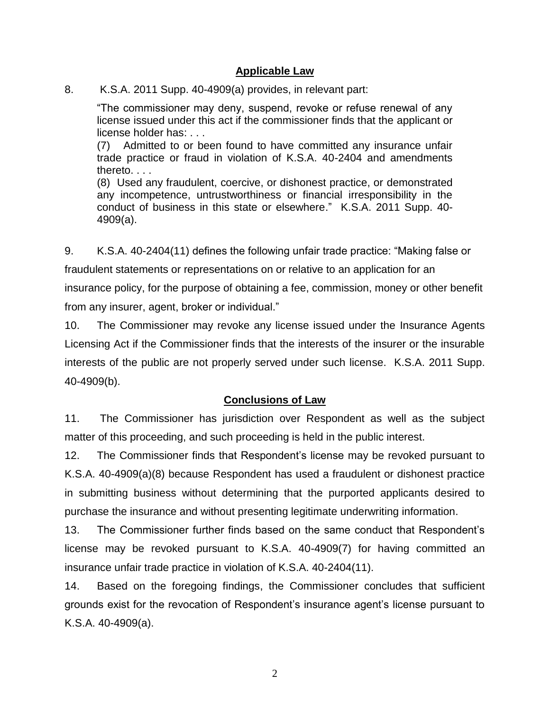# **Applicable Law**

8. K.S.A. 2011 Supp. 40-4909(a) provides, in relevant part:

"The commissioner may deny, suspend, revoke or refuse renewal of any license issued under this act if the commissioner finds that the applicant or license holder has: . . .

(7) Admitted to or been found to have committed any insurance unfair trade practice or fraud in violation of K.S.A. 40-2404 and amendments thereto. . . .

(8) Used any fraudulent, coercive, or dishonest practice, or demonstrated any incompetence, untrustworthiness or financial irresponsibility in the conduct of business in this state or elsewhere." K.S.A. 2011 Supp. 40- 4909(a).

9. K.S.A. 40-2404(11) defines the following unfair trade practice: "Making false or

fraudulent statements or representations on or relative to an application for an

insurance policy, for the purpose of obtaining a fee, commission, money or other benefit from any insurer, agent, broker or individual."

10. The Commissioner may revoke any license issued under the Insurance Agents Licensing Act if the Commissioner finds that the interests of the insurer or the insurable interests of the public are not properly served under such license. K.S.A. 2011 Supp. 40-4909(b).

# **Conclusions of Law**

11. The Commissioner has jurisdiction over Respondent as well as the subject matter of this proceeding, and such proceeding is held in the public interest.

12. The Commissioner finds that Respondent's license may be revoked pursuant to K.S.A. 40-4909(a)(8) because Respondent has used a fraudulent or dishonest practice in submitting business without determining that the purported applicants desired to purchase the insurance and without presenting legitimate underwriting information.

13. The Commissioner further finds based on the same conduct that Respondent's license may be revoked pursuant to K.S.A. 40-4909(7) for having committed an insurance unfair trade practice in violation of K.S.A. 40-2404(11).

14. Based on the foregoing findings, the Commissioner concludes that sufficient grounds exist for the revocation of Respondent's insurance agent's license pursuant to K.S.A. 40-4909(a).

2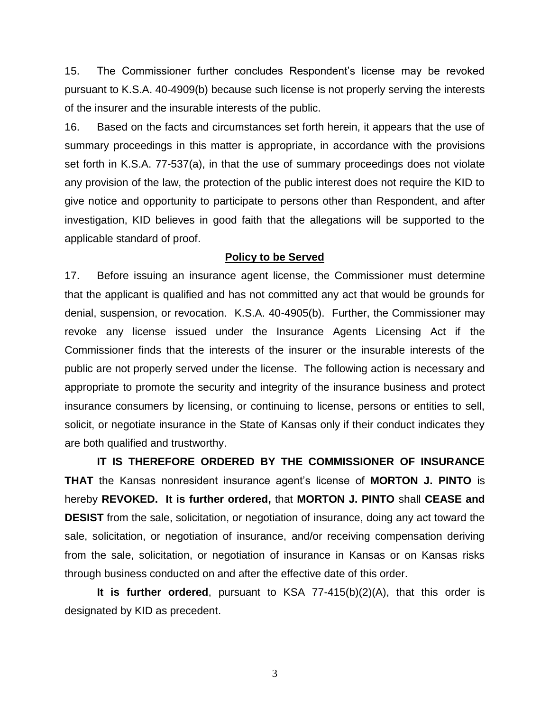15. The Commissioner further concludes Respondent's license may be revoked pursuant to K.S.A. 40-4909(b) because such license is not properly serving the interests of the insurer and the insurable interests of the public.

16. Based on the facts and circumstances set forth herein, it appears that the use of summary proceedings in this matter is appropriate, in accordance with the provisions set forth in K.S.A. 77-537(a), in that the use of summary proceedings does not violate any provision of the law, the protection of the public interest does not require the KID to give notice and opportunity to participate to persons other than Respondent, and after investigation, KID believes in good faith that the allegations will be supported to the applicable standard of proof.

#### **Policy to be Served**

17. Before issuing an insurance agent license, the Commissioner must determine that the applicant is qualified and has not committed any act that would be grounds for denial, suspension, or revocation. K.S.A. 40-4905(b). Further, the Commissioner may revoke any license issued under the Insurance Agents Licensing Act if the Commissioner finds that the interests of the insurer or the insurable interests of the public are not properly served under the license. The following action is necessary and appropriate to promote the security and integrity of the insurance business and protect insurance consumers by licensing, or continuing to license, persons or entities to sell, solicit, or negotiate insurance in the State of Kansas only if their conduct indicates they are both qualified and trustworthy.

**IT IS THEREFORE ORDERED BY THE COMMISSIONER OF INSURANCE THAT** the Kansas nonresident insurance agent's license of **MORTON J. PINTO** is hereby **REVOKED. It is further ordered,** that **MORTON J. PINTO** shall **CEASE and DESIST** from the sale, solicitation, or negotiation of insurance, doing any act toward the sale, solicitation, or negotiation of insurance, and/or receiving compensation deriving from the sale, solicitation, or negotiation of insurance in Kansas or on Kansas risks through business conducted on and after the effective date of this order.

**It is further ordered**, pursuant to KSA 77-415(b)(2)(A), that this order is designated by KID as precedent.

3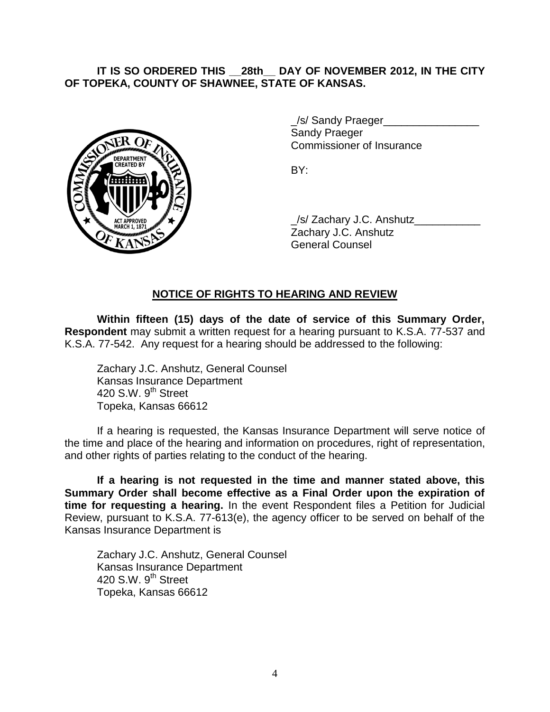#### **IT IS SO ORDERED THIS \_\_28th\_\_ DAY OF NOVEMBER 2012, IN THE CITY OF TOPEKA, COUNTY OF SHAWNEE, STATE OF KANSAS.**



/s/ Sandy Praeger Sandy Praeger Commissioner of Insurance

BY:

\_/s/ Zachary J.C. Anshutz\_\_\_\_\_\_\_\_\_\_\_ Zachary J.C. Anshutz General Counsel

# **NOTICE OF RIGHTS TO HEARING AND REVIEW**

**Within fifteen (15) days of the date of service of this Summary Order, Respondent** may submit a written request for a hearing pursuant to K.S.A. 77-537 and K.S.A. 77-542. Any request for a hearing should be addressed to the following:

Zachary J.C. Anshutz, General Counsel Kansas Insurance Department 420 S.W.  $9<sup>th</sup>$  Street Topeka, Kansas 66612

If a hearing is requested, the Kansas Insurance Department will serve notice of the time and place of the hearing and information on procedures, right of representation, and other rights of parties relating to the conduct of the hearing.

**If a hearing is not requested in the time and manner stated above, this Summary Order shall become effective as a Final Order upon the expiration of time for requesting a hearing.** In the event Respondent files a Petition for Judicial Review, pursuant to K.S.A. 77-613(e), the agency officer to be served on behalf of the Kansas Insurance Department is

Zachary J.C. Anshutz, General Counsel Kansas Insurance Department 420 S.W.  $9<sup>th</sup>$  Street Topeka, Kansas 66612